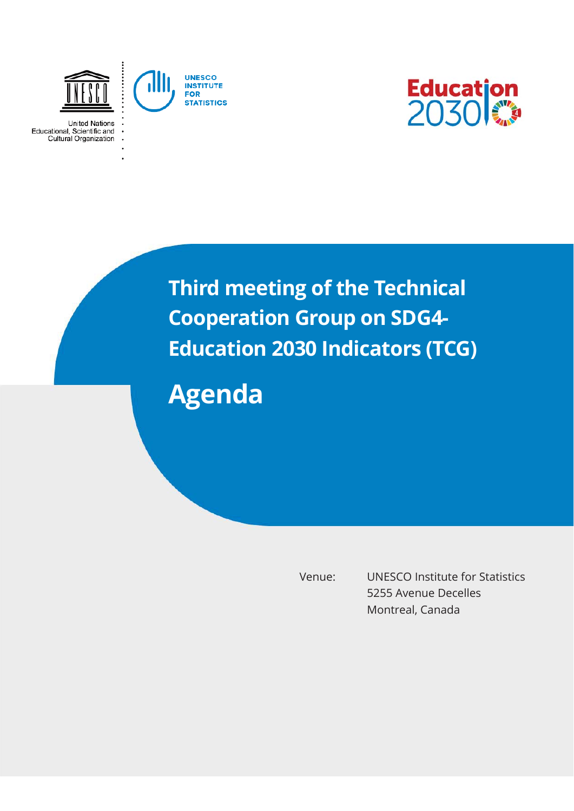







**Third meeting of the Technical Cooperation Group on SDG4- Education 2030 Indicators (TCG)**

**Agenda**

Venue: UNESCO Institute for Statistics 5255 Avenue Decelles Montreal, Canada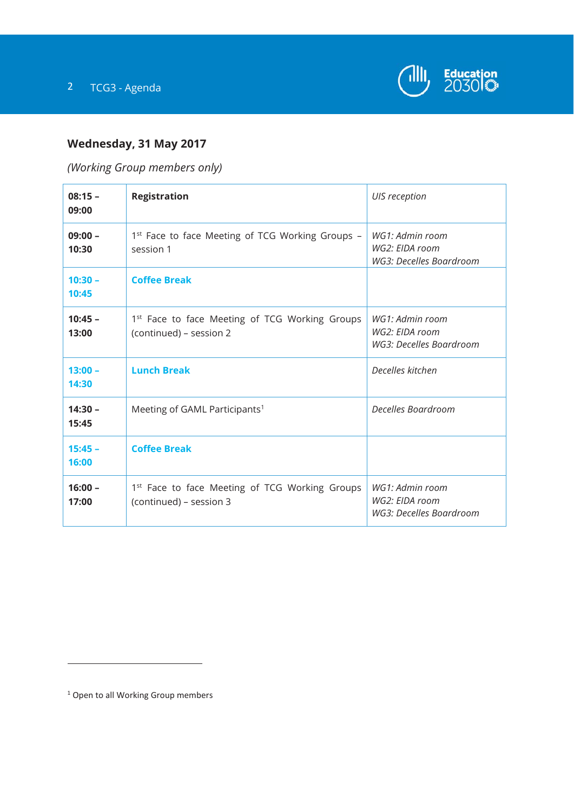



## **Wednesday, 31 May 2017**

*(Working Group members only)* 

| $08:15 -$<br>09:00 | <b>Registration</b>                                                                   | UIS reception                                                |
|--------------------|---------------------------------------------------------------------------------------|--------------------------------------------------------------|
| $09:00 -$<br>10:30 | 1st Face to face Meeting of TCG Working Groups -<br>session 1                         | WG1: Admin room<br>WG2: EIDA room<br>WG3: Decelles Boardroom |
| $10:30 -$<br>10:45 | <b>Coffee Break</b>                                                                   |                                                              |
| $10:45 -$<br>13:00 | 1 <sup>st</sup> Face to face Meeting of TCG Working Groups<br>(continued) - session 2 | WG1: Admin room<br>WG2: EIDA room<br>WG3: Decelles Boardroom |
| $13:00 -$<br>14:30 | <b>Lunch Break</b>                                                                    | Decelles kitchen                                             |
| $14:30 -$<br>15:45 | Meeting of GAML Participants <sup>1</sup>                                             | Decelles Boardroom                                           |
| $15:45 -$<br>16:00 | <b>Coffee Break</b>                                                                   |                                                              |
| $16:00 -$<br>17:00 | 1 <sup>st</sup> Face to face Meeting of TCG Working Groups<br>(continued) - session 3 | WG1: Admin room<br>WG2: EIDA room<br>WG3: Decelles Boardroom |

1

<sup>&</sup>lt;sup>1</sup> Open to all Working Group members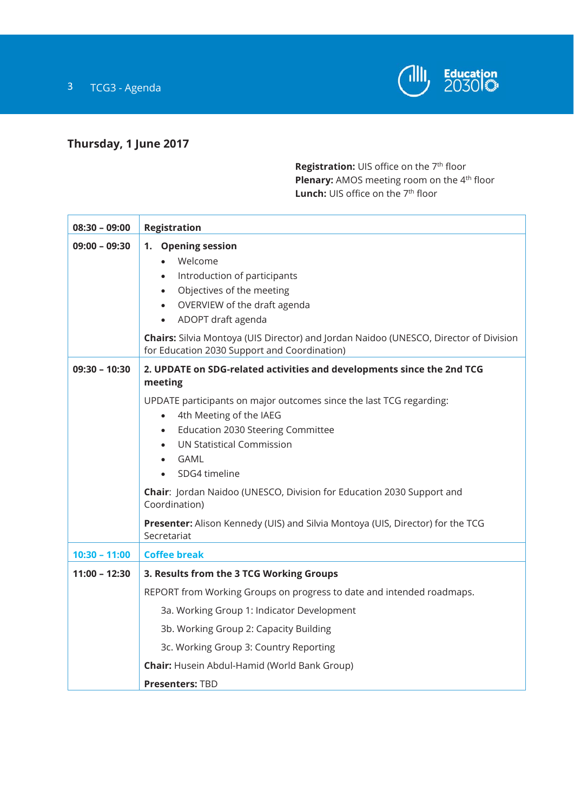

## **Thursday, 1 June 2017**

**Registration:** UIS office on the 7<sup>th</sup> floor **Plenary:** AMOS meeting room on the 4<sup>th</sup> floor **Lunch:** UIS office on the 7<sup>th</sup> floor

| $08:30 - 09:00$ | <b>Registration</b>                                                                                                                                                                                                                                                                                                                                                                                                                                                                                                                                |
|-----------------|----------------------------------------------------------------------------------------------------------------------------------------------------------------------------------------------------------------------------------------------------------------------------------------------------------------------------------------------------------------------------------------------------------------------------------------------------------------------------------------------------------------------------------------------------|
| $09:00 - 09:30$ | 1. Opening session<br>Welcome<br>$\bullet$<br>Introduction of participants<br>$\bullet$<br>Objectives of the meeting<br>$\bullet$<br>OVERVIEW of the draft agenda<br>$\bullet$<br>ADOPT draft agenda<br>$\bullet$<br>Chairs: Silvia Montoya (UIS Director) and Jordan Naidoo (UNESCO, Director of Division<br>for Education 2030 Support and Coordination)                                                                                                                                                                                         |
| $09:30 - 10:30$ | 2. UPDATE on SDG-related activities and developments since the 2nd TCG<br>meeting<br>UPDATE participants on major outcomes since the last TCG regarding:<br>4th Meeting of the IAEG<br>$\bullet$<br>Education 2030 Steering Committee<br>$\bullet$<br><b>UN Statistical Commission</b><br>$\bullet$<br>GAML<br>$\bullet$<br>SDG4 timeline<br><b>Chair:</b> Jordan Naidoo (UNESCO, Division for Education 2030 Support and<br>Coordination)<br><b>Presenter:</b> Alison Kennedy (UIS) and Silvia Montoya (UIS, Director) for the TCG<br>Secretariat |
| $10:30 - 11:00$ | <b>Coffee break</b>                                                                                                                                                                                                                                                                                                                                                                                                                                                                                                                                |
| $11:00 - 12:30$ | 3. Results from the 3 TCG Working Groups<br>REPORT from Working Groups on progress to date and intended roadmaps.<br>3a. Working Group 1: Indicator Development<br>3b. Working Group 2: Capacity Building<br>3c. Working Group 3: Country Reporting<br><b>Chair:</b> Husein Abdul-Hamid (World Bank Group)<br><b>Presenters: TBD</b>                                                                                                                                                                                                               |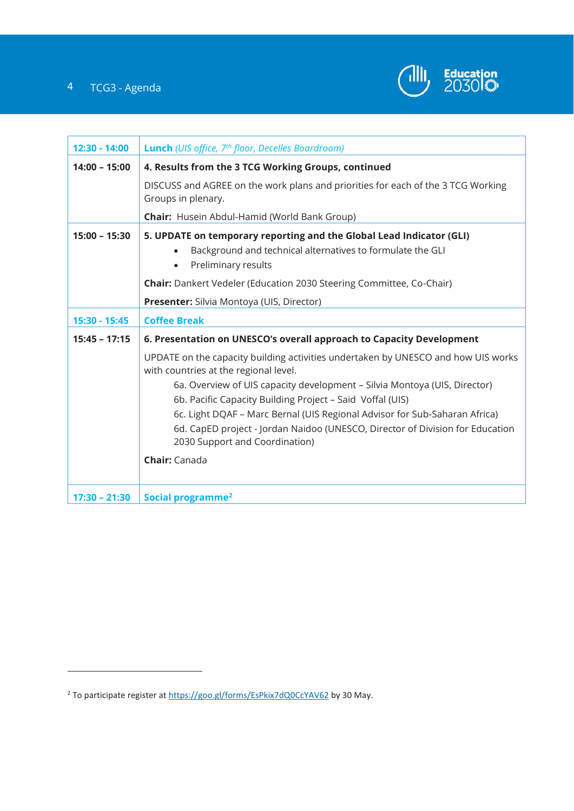## 4 TCG3 - Agenda



| 12:30 - 14:00   | <b>Lunch</b> (UIS office, 7 <sup>th</sup> floor, Decelles Boardroom)                                                                                                                                                                                  |  |
|-----------------|-------------------------------------------------------------------------------------------------------------------------------------------------------------------------------------------------------------------------------------------------------|--|
| $14:00 - 15:00$ | 4. Results from the 3 TCG Working Groups, continued                                                                                                                                                                                                   |  |
|                 | DISCUSS and AGREE on the work plans and priorities for each of the 3 TCG Working<br>Groups in plenary.                                                                                                                                                |  |
|                 | <b>Chair:</b> Husein Abdul-Hamid (World Bank Group)                                                                                                                                                                                                   |  |
| $15:00 - 15:30$ | 5. UPDATE on temporary reporting and the Global Lead Indicator (GLI)<br>Background and technical alternatives to formulate the GLI<br>Preliminary results<br>$\bullet$<br><b>Chair:</b> Dankert Vedeler (Education 2030 Steering Committee, Co-Chair) |  |
|                 | Presenter: Silvia Montoya (UIS, Director)                                                                                                                                                                                                             |  |
| 15:30 - 15:45   | <b>Coffee Break</b>                                                                                                                                                                                                                                   |  |
| $15:45 - 17:15$ | 6. Presentation on UNESCO's overall approach to Capacity Development                                                                                                                                                                                  |  |
|                 | UPDATE on the capacity building activities undertaken by UNESCO and how UIS works<br>with countries at the regional level.                                                                                                                            |  |
|                 | 6a. Overview of UIS capacity development - Silvia Montoya (UIS, Director)<br>6b. Pacific Capacity Building Project - Said Voffal (UIS)                                                                                                                |  |
|                 | 6c. Light DQAF - Marc Bernal (UIS Regional Advisor for Sub-Saharan Africa)<br>6d. CapED project - Jordan Naidoo (UNESCO, Director of Division for Education<br>2030 Support and Coordination)                                                         |  |
|                 | <b>Chair:</b> Canada                                                                                                                                                                                                                                  |  |
| $17:30 - 21:30$ | Social programme <sup>2</sup>                                                                                                                                                                                                                         |  |

1

<sup>&</sup>lt;sup>2</sup> To participate register at https://goo.gl/forms/EsPkix7dQ0CcYAV62 by 30 May.